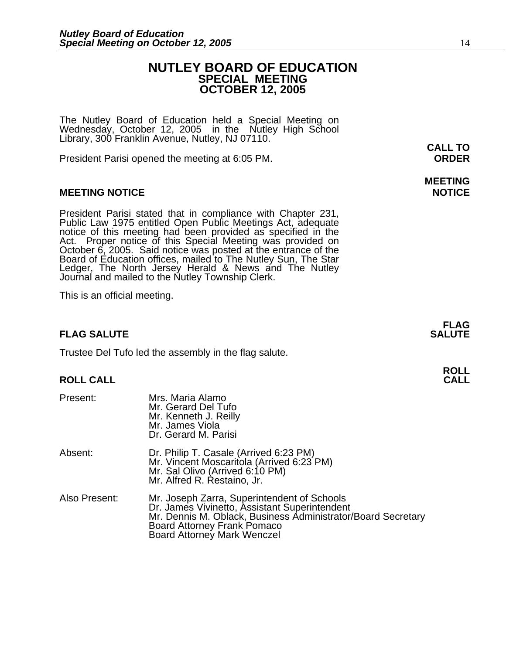## **NUTLEY BOARD OF EDUCATION SPECIAL MEETING OCTOBER 12, 2005**

The Nutley Board of Education held a Special Meeting on Wednesday, October 12, 2005 in the Nutley High School Library, 300 Franklin Avenue, Nutley, NJ 07110.

President Parisi opened the meeting at 6:05 PM. **ORDER**

## **MEETING NOTICE NOTICE**

President Parisi stated that in compliance with Chapter 231,<br>Public Law 1975 entitled Open Public Meetings Act, adequate<br>notice of this meeting had been provided as specified in the<br>Act. Proper notice of this Special Meeti Board of Education offices, mailed to The Nutley Sun, The Star Ledger, The North Jersey Herald & News and The Nutley Journal and mailed to the Nutley Township Clerk.

This is an official meeting.

## **FLAG SALUTE** SALUTE SALUTE SALUTE SALUTE SALUTE SALUTE SALUTE SALUTE SALUTE SALUTE SALUTE SALUTE SALUTE SALUTE SALUTE

Trustee Del Tufo led the assembly in the flag salute.

## **ROLL CALL**

| Present:      | Mrs. Maria Alamo<br>Mr. Gerard Del Tufo<br>Mr. Kenneth J. Reilly<br>Mr. James Viola<br>Dr. Gerard M. Parisi                                                                                                                |
|---------------|----------------------------------------------------------------------------------------------------------------------------------------------------------------------------------------------------------------------------|
| Absent:       | Dr. Philip T. Casale (Arrived 6:23 PM)<br>Mr. Vincent Moscaritola (Arrived 6:23 PM)<br>Mr. Sal Olivo (Arrived 6:10 PM)<br>Mr. Alfred R. Restaino, Jr.                                                                      |
| Also Present: | Mr. Joseph Zarra, Superintendent of Schools<br>Dr. James Vivinetto, Assistant Superintendent<br>Mr. Dennis M. Oblack, Business Administrator/Board Secretary<br>Board Attorney Frank Pomaco<br>Board Attorney Mark Wenczel |

**CALL TO** 

# **MEETING**

**FLAG**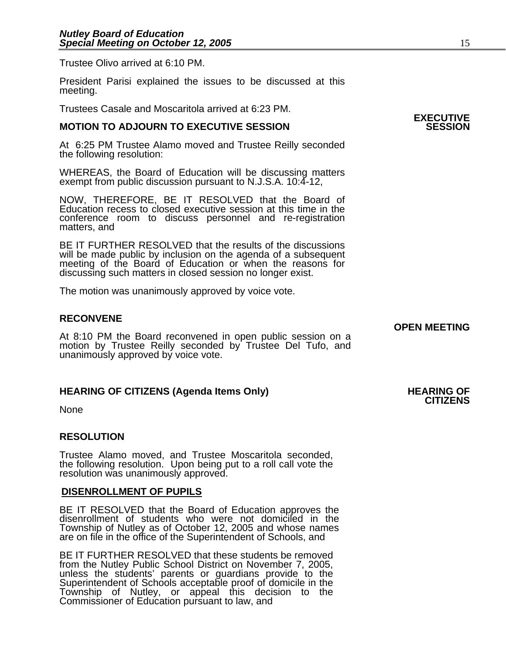Trustee Olivo arrived at 6:10 PM.

President Parisi explained the issues to be discussed at this meeting.

Trustees Casale and Moscaritola arrived at 6:23 PM.

## **MOTION TO ADJOURN TO EXECUTIVE SESSION**

At 6:25 PM Trustee Alamo moved and Trustee Reilly seconded the following resolution:

WHEREAS, the Board of Education will be discussing matters exempt from public discussion pursuant to N.J.S.A. 10:4-12,

NOW, THEREFORE, BE IT RESOLVED that the Board of Education recess to closed executive session at this time in the conference room to discuss personnel and re-registration matters, and

BE IT FURTHER RESOLVED that the results of the discussions will be made public by inclusion on the agenda of a subsequent meeting of the Board of Education or when the reasons for discussing such matters in closed session no longer exist. 

The motion was unanimously approved by voice vote.

## **RECONVENE**

**OPEN MEETING**<br>At 8:10 PM the Board reconvened in open public session on a motion by Trustee Reilly seconded by Trustee Del Tufo, and unanimously approved by voice vote.

## **HEARING OF CITIZENS (Agenda Items Only) HEARING OF CITIZENS**

None

## **RESOLUTION**

Trustee Alamo moved, and Trustee Moscaritola seconded, the following resolution. Upon being put to a roll call vote the resolution was unanimously approved.

## **DISENROLLMENT OF PUPILS**

BE IT RESOLVED that the Board of Education approves the disenrollment of students who were not domiciled in the Township of Nutley as of October 12, 2005 and whose names are on file in the office of the Superintendent of Schools, and

BE IT FURTHER RESOLVED that these students be removed from the Nutley Public School District on November 7, 2005, unless the students' parents or guardians provide to the Superintendent of Schools acceptable proof of domicile in the Township of Nutley, or appeal this decision to the Commissioner of Education pursuant to law, and

**EXECUTIVE**